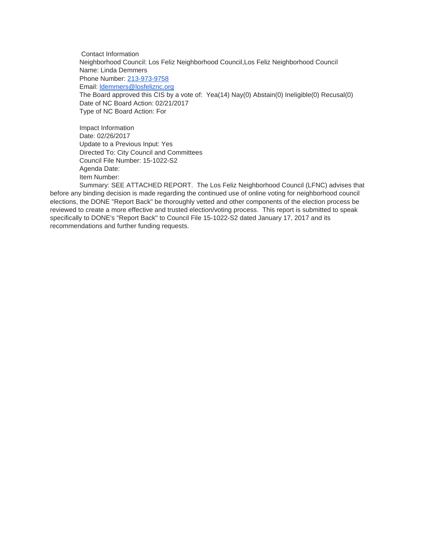Contact Information Neighborhood Council: Los Feliz Neighborhood Council,Los Feliz Neighborhood Council Name: Linda Demmers Phone Number: [213-973-9758](tel:213-973-9758) Email: [ldemmers@losfeliznc.org](mailto:ldemmers@losfeliznc.org) The Board approved this CIS by a vote of: Yea(14) Nay(0) Abstain(0) Ineligible(0) Recusal(0) Date of NC Board Action: 02/21/2017 Type of NC Board Action: For

Impact Information Date: 02/26/2017 Update to a Previous Input: Yes Directed To: City Council and Committees Council File Number: 15-1022-S2 Agenda Date: Item Number:

Summary: SEE ATTACHED REPORT. The Los Feliz Neighborhood Council (LFNC) advises that before any binding decision is made regarding the continued use of online voting for neighborhood council elections, the DONE "Report Back" be thoroughly vetted and other components of the election process be reviewed to create a more effective and trusted election/voting process. This report is submitted to speak specifically to DONE's "Report Back" to Council File 15-1022-S2 dated January 17, 2017 and its recommendations and further funding requests.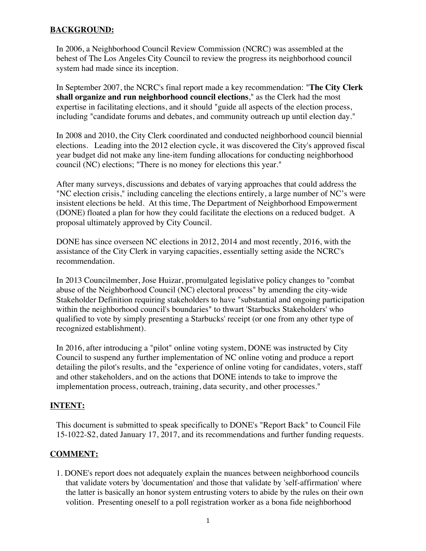## **BACKGROUND:**

In 2006, a Neighborhood Council Review Commission (NCRC) was assembled at the behest of The Los Angeles City Council to review the progress its neighborhood council system had made since its inception.

In September 2007, the NCRC's final report made a key recommendation: "**The City Clerk shall organize and run neighborhood council elections**," as the Clerk had the most expertise in facilitating elections, and it should "guide all aspects of the election process, including "candidate forums and debates, and community outreach up until election day."

In 2008 and 2010, the City Clerk coordinated and conducted neighborhood council biennial elections. Leading into the 2012 election cycle, it was discovered the City's approved fiscal year budget did not make any line-item funding allocations for conducting neighborhood council (NC) elections; "There is no money for elections this year."

After many surveys, discussions and debates of varying approaches that could address the "NC election crisis," including canceling the elections entirely, a large number of NC's were insistent elections be held. At this time, The Department of Neighborhood Empowerment (DONE) floated a plan for how they could facilitate the elections on a reduced budget. A proposal ultimately approved by City Council.

DONE has since overseen NC elections in 2012, 2014 and most recently, 2016, with the assistance of the City Clerk in varying capacities, essentially setting aside the NCRC's recommendation.

In 2013 Councilmember, Jose Huizar, promulgated legislative policy changes to "combat abuse of the Neighborhood Council (NC) electoral process" by amending the city-wide Stakeholder Definition requiring stakeholders to have "substantial and ongoing participation within the neighborhood council's boundaries" to thwart 'Starbucks Stakeholders' who qualified to vote by simply presenting a Starbucks' receipt (or one from any other type of recognized establishment).

In 2016, after introducing a "pilot" online voting system, DONE was instructed by City Council to suspend any further implementation of NC online voting and produce a report detailing the pilot's results, and the "experience of online voting for candidates, voters, staff and other stakeholders, and on the actions that DONE intends to take to improve the implementation process, outreach, training, data security, and other processes."

### **INTENT:**

This document is submitted to speak specifically to DONE's "Report Back" to Council File 15-1022-S2, dated January 17, 2017, and its recommendations and further funding requests.

### **COMMENT:**

1. DONE's report does not adequately explain the nuances between neighborhood councils that validate voters by 'documentation' and those that validate by 'self-affirmation' where the latter is basically an honor system entrusting voters to abide by the rules on their own volition. Presenting oneself to a poll registration worker as a bona fide neighborhood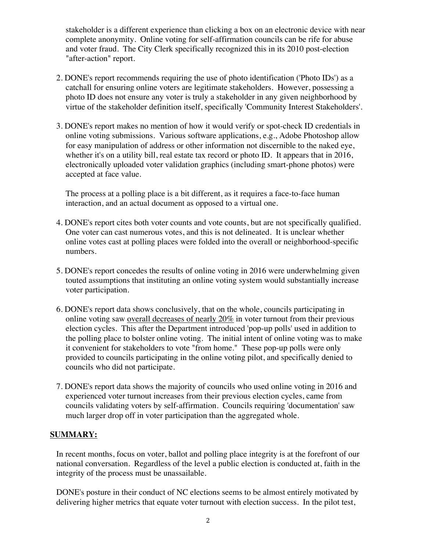stakeholder is a different experience than clicking a box on an electronic device with near complete anonymity. Online voting for self-affirmation councils can be rife for abuse and voter fraud. The City Clerk specifically recognized this in its 2010 post-election "after-action" report.

- 2. DONE's report recommends requiring the use of photo identification ('Photo IDs') as a catchall for ensuring online voters are legitimate stakeholders. However, possessing a photo ID does not ensure any voter is truly a stakeholder in any given neighborhood by virtue of the stakeholder definition itself, specifically 'Community Interest Stakeholders'.
- 3. DONE's report makes no mention of how it would verify or spot-check ID credentials in online voting submissions. Various software applications, e.g., Adobe Photoshop allow for easy manipulation of address or other information not discernible to the naked eye, whether it's on a utility bill, real estate tax record or photo ID. It appears that in 2016, electronically uploaded voter validation graphics (including smart-phone photos) were accepted at face value.

The process at a polling place is a bit different, as it requires a face-to-face human interaction, and an actual document as opposed to a virtual one.

- 4. DONE's report cites both voter counts and vote counts, but are not specifically qualified. One voter can cast numerous votes, and this is not delineated. It is unclear whether online votes cast at polling places were folded into the overall or neighborhood-specific numbers.
- 5. DONE's report concedes the results of online voting in 2016 were underwhelming given touted assumptions that instituting an online voting system would substantially increase voter participation.
- 6. DONE's report data shows conclusively, that on the whole, councils participating in online voting saw overall decreases of nearly 20% in voter turnout from their previous election cycles. This after the Department introduced 'pop-up polls' used in addition to the polling place to bolster online voting. The initial intent of online voting was to make it convenient for stakeholders to vote "from home." These pop-up polls were only provided to councils participating in the online voting pilot, and specifically denied to councils who did not participate.
- 7. DONE's report data shows the majority of councils who used online voting in 2016 and experienced voter turnout increases from their previous election cycles, came from councils validating voters by self-affirmation. Councils requiring 'documentation' saw much larger drop off in voter participation than the aggregated whole.

### **SUMMARY:**

In recent months, focus on voter, ballot and polling place integrity is at the forefront of our national conversation. Regardless of the level a public election is conducted at, faith in the integrity of the process must be unassailable.

DONE's posture in their conduct of NC elections seems to be almost entirely motivated by delivering higher metrics that equate voter turnout with election success. In the pilot test,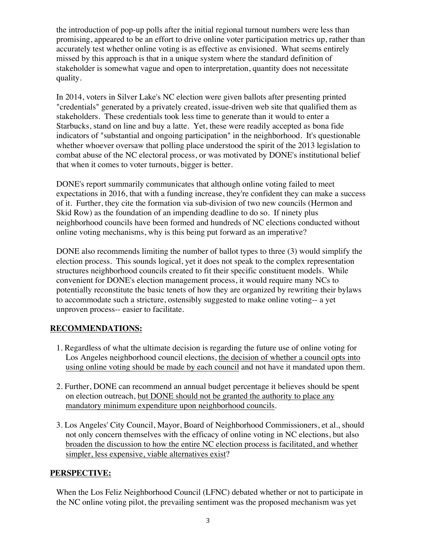the introduction of pop-up polls after the initial regional turnout numbers were less than promising, appeared to be an effort to drive online voter participation metrics up, rather than accurately test whether online voting is as effective as envisioned. What seems entirely missed by this approach is that in a unique system where the standard definition of stakeholder is somewhat vague and open to interpretation, quantity does not necessitate quality.

In 2014, voters in Silver Lake's NC election were given ballots after presenting printed "credentials" generated by a privately created, issue-driven web site that qualified them as stakeholders. These credentials took less time to generate than it would to enter a Starbucks, stand on line and buy a latte. Yet, these were readily accepted as bona fide indicators of "substantial and ongoing participation" in the neighborhood. It's questionable whether whoever oversaw that polling place understood the spirit of the 2013 legislation to combat abuse of the NC electoral process, or was motivated by DONE's institutional belief that when it comes to voter turnouts, bigger is better.

DONE's report summarily communicates that although online voting failed to meet expectations in 2016, that with a funding increase, they're confident they can make a success of it. Further, they cite the formation via sub-division of two new councils (Hermon and Skid Row) as the foundation of an impending deadline to do so. If ninety plus neighborhood councils have been formed and hundreds of NC elections conducted without online voting mechanisms, why is this being put forward as an imperative?

DONE also recommends limiting the number of ballot types to three (3) would simplify the election process. This sounds logical, yet it does not speak to the complex representation structures neighborhood councils created to fit their specific constituent models. While convenient for DONE's election management process, it would require many NCs to potentially reconstitute the basic tenets of how they are organized by rewriting their bylaws to accommodate such a stricture, ostensibly suggested to make online voting-- a yet unproven process-- easier to facilitate.

# **RECOMMENDATIONS:**

- 1. Regardless of what the ultimate decision is regarding the future use of online voting for Los Angeles neighborhood council elections, the decision of whether a council opts into using online voting should be made by each council and not have it mandated upon them.
- 2. Further, DONE can recommend an annual budget percentage it believes should be spent on election outreach, but DONE should not be granted the authority to place any mandatory minimum expenditure upon neighborhood councils.
- 3. Los Angeles' City Council, Mayor, Board of Neighborhood Commissioners, et al., should not only concern themselves with the efficacy of online voting in NC elections, but also broaden the discussion to how the entire NC election process is facilitated, and whether simpler, less expensive, viable alternatives exist?

### **PERSPECTIVE:**

When the Los Feliz Neighborhood Council (LFNC) debated whether or not to participate in the NC online voting pilot, the prevailing sentiment was the proposed mechanism was yet